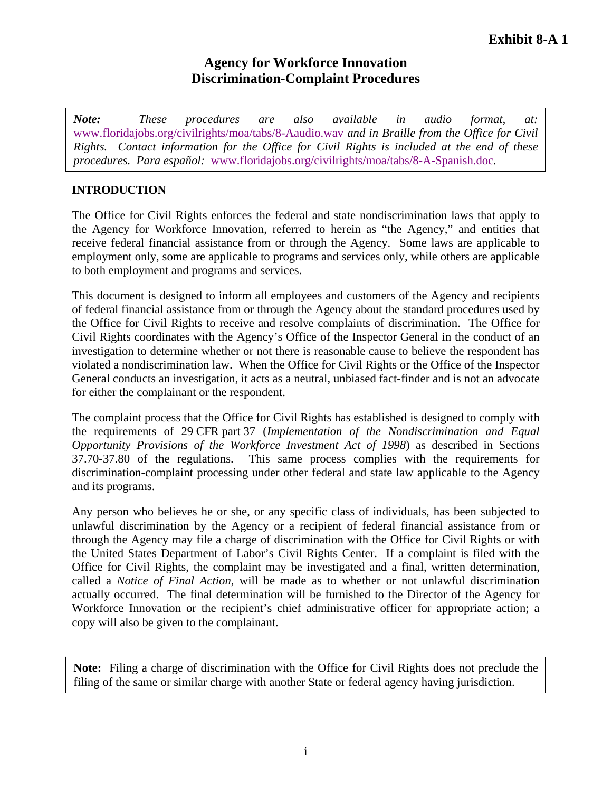# **Agency for Workforce Innovation Discrimination-Complaint Procedures**

*Note: These procedures are also available in audio format, at:*  www.floridajobs.org/civilrights/moa/tabs/8-Aaudio.wav *and in Braille from the Office for Civil Rights. Contact information for the Office for Civil Rights is included at the end of these procedures. Para español:* www.floridajobs.org/civilrights/moa/tabs/8-A-Spanish.doc*.*

## **INTRODUCTION**

The Office for Civil Rights enforces the federal and state nondiscrimination laws that apply to the Agency for Workforce Innovation, referred to herein as "the Agency," and entities that receive federal financial assistance from or through the Agency. Some laws are applicable to employment only, some are applicable to programs and services only, while others are applicable to both employment and programs and services.

This document is designed to inform all employees and customers of the Agency and recipients of federal financial assistance from or through the Agency about the standard procedures used by the Office for Civil Rights to receive and resolve complaints of discrimination. The Office for Civil Rights coordinates with the Agency's Office of the Inspector General in the conduct of an investigation to determine whether or not there is reasonable cause to believe the respondent has violated a nondiscrimination law. When the Office for Civil Rights or the Office of the Inspector General conducts an investigation, it acts as a neutral, unbiased fact-finder and is not an advocate for either the complainant or the respondent.

The complaint process that the Office for Civil Rights has established is designed to comply with the requirements of 29 CFR part 37 (*Implementation of the Nondiscrimination and Equal Opportunity Provisions of the Workforce Investment Act of 1998*) as described in Sections 37.70-37.80 of the regulations. This same process complies with the requirements for discrimination-complaint processing under other federal and state law applicable to the Agency and its programs.

Any person who believes he or she, or any specific class of individuals, has been subjected to unlawful discrimination by the Agency or a recipient of federal financial assistance from or through the Agency may file a charge of discrimination with the Office for Civil Rights or with the United States Department of Labor's Civil Rights Center. If a complaint is filed with the Office for Civil Rights, the complaint may be investigated and a final, written determination, called a *Notice of Final Action*, will be made as to whether or not unlawful discrimination actually occurred. The final determination will be furnished to the Director of the Agency for Workforce Innovation or the recipient's chief administrative officer for appropriate action; a copy will also be given to the complainant.

**Note:** Filing a charge of discrimination with the Office for Civil Rights does not preclude the filing of the same or similar charge with another State or federal agency having jurisdiction.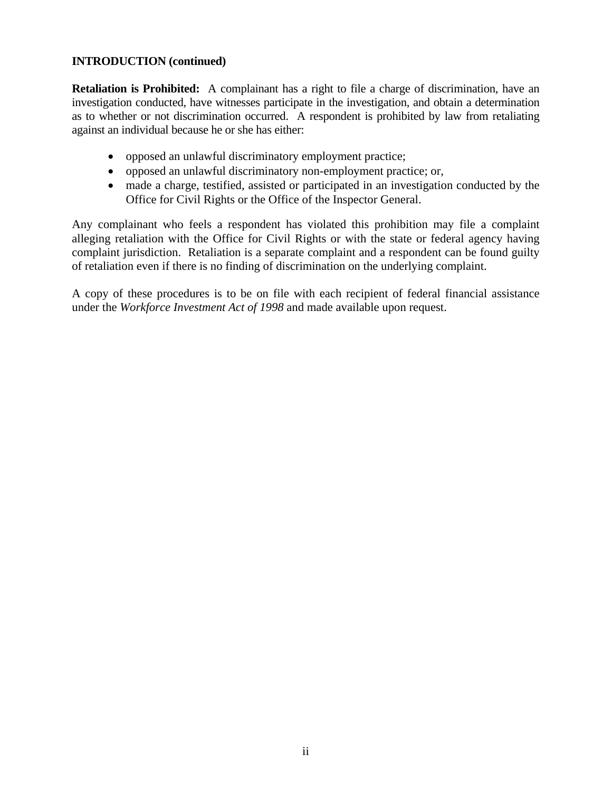### **INTRODUCTION (continued)**

**Retaliation is Prohibited:** A complainant has a right to file a charge of discrimination, have an investigation conducted, have witnesses participate in the investigation, and obtain a determination as to whether or not discrimination occurred. A respondent is prohibited by law from retaliating against an individual because he or she has either:

- opposed an unlawful discriminatory employment practice;
- opposed an unlawful discriminatory non-employment practice; or,
- made a charge, testified, assisted or participated in an investigation conducted by the Office for Civil Rights or the Office of the Inspector General.

Any complainant who feels a respondent has violated this prohibition may file a complaint alleging retaliation with the Office for Civil Rights or with the state or federal agency having complaint jurisdiction. Retaliation is a separate complaint and a respondent can be found guilty of retaliation even if there is no finding of discrimination on the underlying complaint.

A copy of these procedures is to be on file with each recipient of federal financial assistance under the *Workforce Investment Act of 1998* and made available upon request.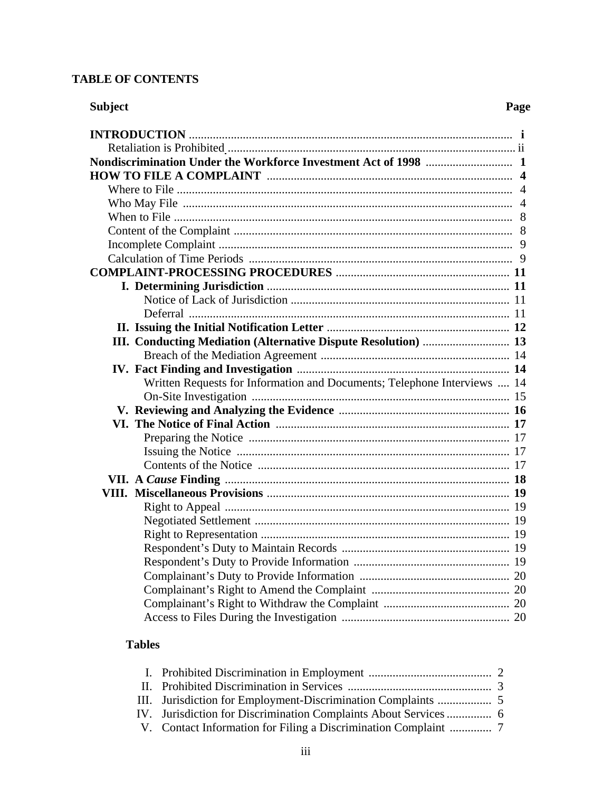## **TABLE OF CONTENTS**

| <b>Subject</b>                                                           | Page |
|--------------------------------------------------------------------------|------|
|                                                                          |      |
|                                                                          |      |
|                                                                          |      |
|                                                                          |      |
|                                                                          |      |
|                                                                          |      |
|                                                                          |      |
|                                                                          |      |
|                                                                          |      |
|                                                                          |      |
|                                                                          |      |
|                                                                          |      |
|                                                                          |      |
|                                                                          |      |
|                                                                          |      |
| III. Conducting Mediation (Alternative Dispute Resolution)  13           |      |
|                                                                          |      |
|                                                                          |      |
| Written Requests for Information and Documents; Telephone Interviews  14 |      |
|                                                                          |      |
|                                                                          |      |
|                                                                          |      |
|                                                                          |      |
|                                                                          |      |
|                                                                          |      |
|                                                                          |      |
|                                                                          |      |
|                                                                          |      |
|                                                                          |      |
|                                                                          |      |
|                                                                          |      |
|                                                                          |      |
|                                                                          |      |
|                                                                          |      |
|                                                                          |      |
|                                                                          |      |

## **Tables**

| IV. Jurisdiction for Discrimination Complaints About Services  6 |  |
|------------------------------------------------------------------|--|
|                                                                  |  |
|                                                                  |  |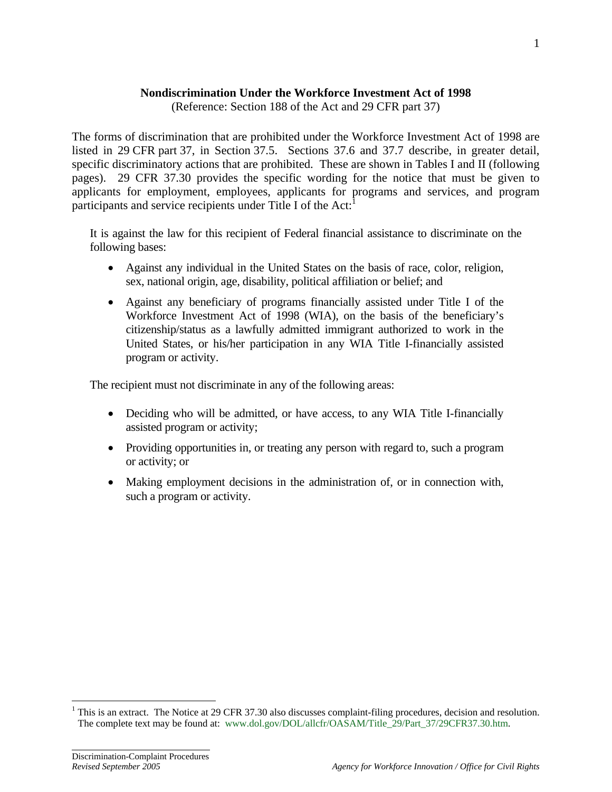### **Nondiscrimination Under the Workforce Investment Act of 1998**

(Reference: Section 188 of the Act and 29 CFR part 37)

The forms of discrimination that are prohibited under the Workforce Investment Act of 1998 are listed in 29 CFR part 37, in Section 37.5. Sections 37.6 and 37.7 describe, in greater detail, specific discriminatory actions that are prohibited. These are shown in Tables I and II (following pages). 29 CFR 37.30 provides the specific wording for the notice that must be given to applicants for employment, employees, applicants for programs and services, and program participants and service recipients under Title I of the Act:<sup>1</sup>

It is against the law for this recipient of Federal financial assistance to discriminate on the following bases:

- Against any individual in the United States on the basis of race, color, religion, sex, national origin, age, disability, political affiliation or belief; and
- Against any beneficiary of programs financially assisted under Title I of the Workforce Investment Act of 1998 (WIA), on the basis of the beneficiary's citizenship/status as a lawfully admitted immigrant authorized to work in the United States, or his/her participation in any WIA Title I-financially assisted program or activity.

The recipient must not discriminate in any of the following areas:

- Deciding who will be admitted, or have access, to any WIA Title I-financially assisted program or activity;
- Providing opportunities in, or treating any person with regard to, such a program or activity; or
- Making employment decisions in the administration of, or in connection with, such a program or activity.

֦

1

<sup>&</sup>lt;sup>1</sup> This is an extract. The Notice at 29 CFR 37.30 also discusses complaint-filing procedures, decision and resolution. The complete text may be found at: www.dol.gov/DOL/allcfr/OASAM/Title\_29/Part\_37/29CFR37.30.htm.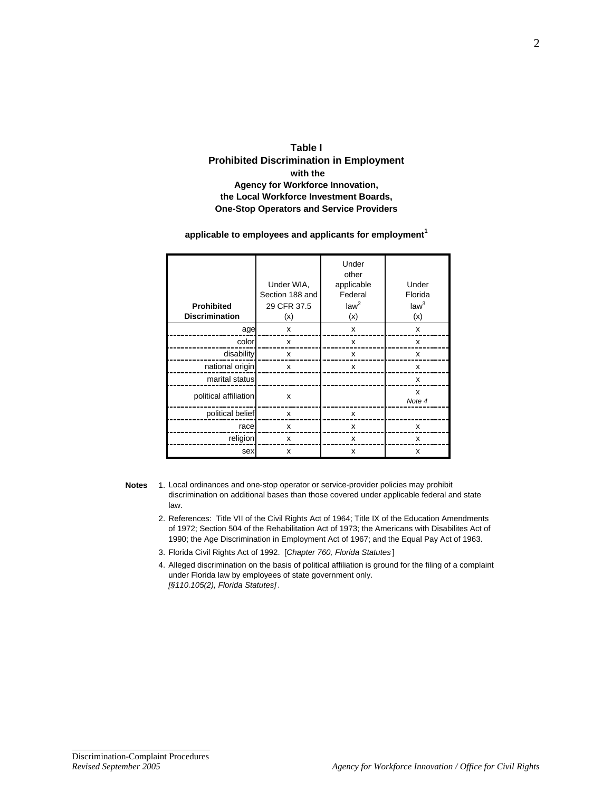

#### applicable to employees and applicants for employment<sup>1</sup>

| <b>Prohibited</b><br><b>Discrimination</b> | Under WIA,<br>Section 188 and<br>29 CFR 37.5<br>(x) | Under<br>other<br>applicable<br>Federal<br>law <sup>2</sup><br>(x) | Under<br>Florida<br>law <sup>3</sup><br>(x) |
|--------------------------------------------|-----------------------------------------------------|--------------------------------------------------------------------|---------------------------------------------|
| age                                        | x                                                   | X                                                                  | x                                           |
| color                                      | x                                                   | x                                                                  | X                                           |
| disability                                 | x                                                   | x                                                                  | x                                           |
| national origin                            | x                                                   | X                                                                  | x                                           |
| marital status                             |                                                     |                                                                    | x                                           |
| political affiliation                      | X                                                   |                                                                    | X<br>Note 4                                 |
| political belief                           | x                                                   | x                                                                  |                                             |
| race                                       | x                                                   | x                                                                  | x                                           |
| religion                                   | x                                                   | x                                                                  | x                                           |
| sex                                        | x                                                   | x                                                                  | x                                           |

- **Notes** 1. Local ordinances and one-stop operator or service-provider policies may prohibit discrimination on additional bases than those covered under applicable federal and state law.
	- 2. References: Title VII of the Civil Rights Act of 1964; Title IX of the Education Amendments of 1972; Section 504 of the Rehabilitation Act of 1973; the Americans with Disabilites Act of 1990; the Age Discrimination in Employment Act of 1967; and the Equal Pay Act of 1963.
	- 3. Florida Civil Rights Act of 1992. [*Chapter 760, Florida Statutes* ]
	- 4. Alleged discrimination on the basis of political affiliation is ground for the filing of a complaint under Florida law by employees of state government only. *[§110.105(2), Florida Statutes]* .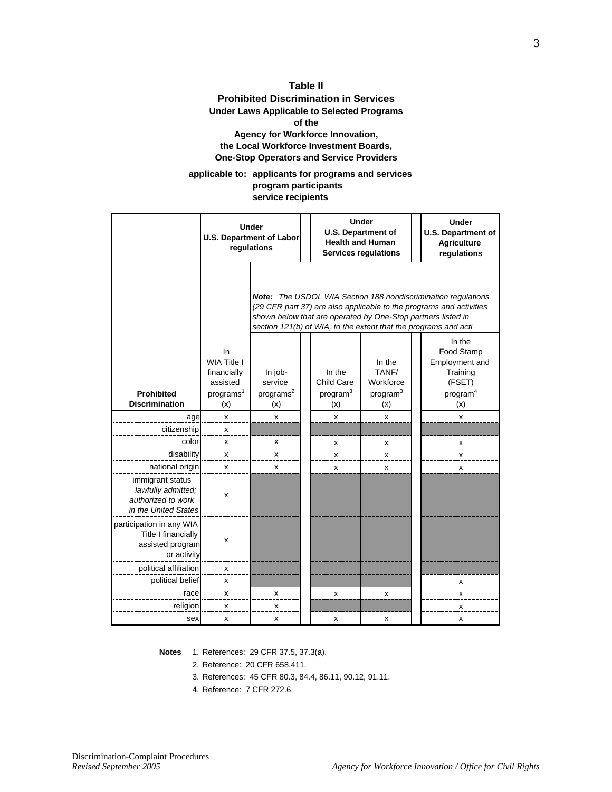#### **Table II Prohibited Discrimination in Services Under Laws Applicable to Selected Programs of the Agency for Workforce Innovation, the Local Workforce Investment Boards, One-Stop Operators and Service Providers**

#### **applicable to: applicants for programs and services program participants service recipients**

|                                                                                      |                                                                                      | <b>Under</b><br><b>U.S. Department of Labor</b><br>regulations                                                                                                                                                                                                                 |  | <b>Under</b><br><b>U.S. Department of</b><br><b>Health and Human</b><br><b>Services requlations</b> |                                                             |  | <b>Under</b><br><b>U.S. Department of</b><br><b>Agriculture</b><br>regulations              |
|--------------------------------------------------------------------------------------|--------------------------------------------------------------------------------------|--------------------------------------------------------------------------------------------------------------------------------------------------------------------------------------------------------------------------------------------------------------------------------|--|-----------------------------------------------------------------------------------------------------|-------------------------------------------------------------|--|---------------------------------------------------------------------------------------------|
|                                                                                      |                                                                                      | <b>Note:</b> The USDOL WIA Section 188 nondiscrimination regulations<br>(29 CFR part 37) are also applicable to the programs and activities<br>shown below that are operated by One-Stop partners listed in<br>section 121(b) of WIA, to the extent that the programs and acti |  |                                                                                                     |                                                             |  |                                                                                             |
| <b>Prohibited</b><br><b>Discrimination</b>                                           | In.<br><b>WIA Title I</b><br>financially<br>assisted<br>programs <sup>1</sup><br>(x) | In job-<br>service<br>programs <sup>2</sup><br>(x)                                                                                                                                                                                                                             |  | In the<br>Child Care<br>program <sup>3</sup><br>(x)                                                 | In the<br>TANF/<br>Workforce<br>program <sup>3</sup><br>(x) |  | In the<br>Food Stamp<br>Employment and<br>Training<br>(FSET)<br>program <sup>4</sup><br>(x) |
| age                                                                                  | x                                                                                    | x                                                                                                                                                                                                                                                                              |  | $\pmb{\mathsf{x}}$                                                                                  | x                                                           |  | x                                                                                           |
| citizenship                                                                          | x                                                                                    |                                                                                                                                                                                                                                                                                |  |                                                                                                     |                                                             |  |                                                                                             |
| color                                                                                | x                                                                                    | x                                                                                                                                                                                                                                                                              |  | X                                                                                                   | x                                                           |  | x                                                                                           |
| disability                                                                           | x                                                                                    | x                                                                                                                                                                                                                                                                              |  | $\pmb{\mathsf{X}}$                                                                                  | X                                                           |  | $\pmb{\mathsf{x}}$                                                                          |
| national origin                                                                      | X                                                                                    | X                                                                                                                                                                                                                                                                              |  | $\mathsf{x}$                                                                                        | x                                                           |  | x                                                                                           |
| immigrant status<br>lawfully admitted;<br>authorized to work<br>in the United States | x                                                                                    |                                                                                                                                                                                                                                                                                |  |                                                                                                     |                                                             |  |                                                                                             |
| participation in any WIA<br>Title I financially<br>assisted program<br>or activity   | X                                                                                    |                                                                                                                                                                                                                                                                                |  |                                                                                                     |                                                             |  |                                                                                             |
| political affiliation                                                                | X                                                                                    |                                                                                                                                                                                                                                                                                |  |                                                                                                     |                                                             |  |                                                                                             |
| political belief                                                                     | X                                                                                    |                                                                                                                                                                                                                                                                                |  |                                                                                                     |                                                             |  | x                                                                                           |
| race                                                                                 | x                                                                                    | X                                                                                                                                                                                                                                                                              |  | x                                                                                                   | x                                                           |  | x                                                                                           |
| religion                                                                             | x                                                                                    | X                                                                                                                                                                                                                                                                              |  |                                                                                                     |                                                             |  | x                                                                                           |
| sex                                                                                  | х                                                                                    | x                                                                                                                                                                                                                                                                              |  | x                                                                                                   | x                                                           |  | х                                                                                           |

- **Notes** 1. References: 29 CFR 37.5, 37.3(a).
	- 2. Reference: 20 CFR 658.411.
	- 3. References: 45 CFR 80.3, 84.4, 86.11, 90.12, 91.11.
	- 4. Reference: 7 CFR 272.6.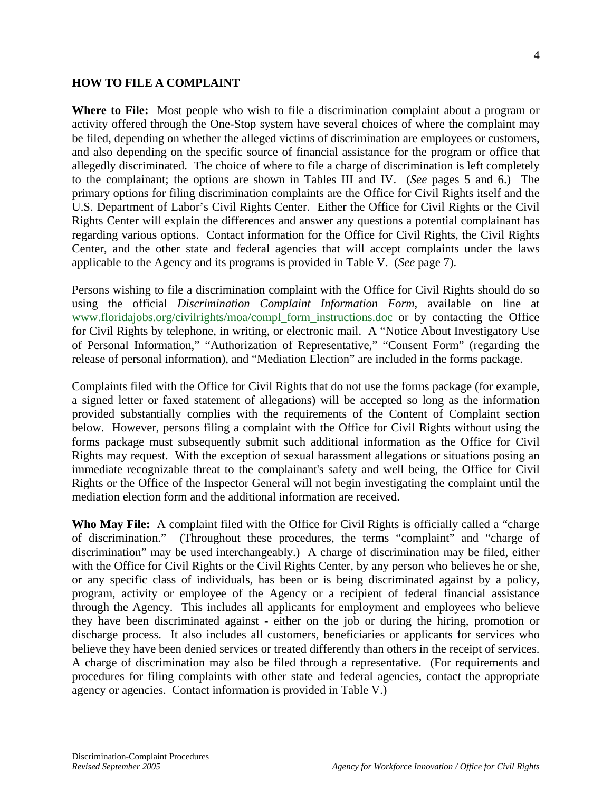#### **HOW TO FILE A COMPLAINT**

**Where to File:** Most people who wish to file a discrimination complaint about a program or activity offered through the One-Stop system have several choices of where the complaint may be filed, depending on whether the alleged victims of discrimination are employees or customers, and also depending on the specific source of financial assistance for the program or office that allegedly discriminated. The choice of where to file a charge of discrimination is left completely to the complainant; the options are shown in Tables III and IV. (*See* pages 5 and 6.) The primary options for filing discrimination complaints are the Office for Civil Rights itself and the U.S. Department of Labor's Civil Rights Center. Either the Office for Civil Rights or the Civil Rights Center will explain the differences and answer any questions a potential complainant has regarding various options. Contact information for the Office for Civil Rights, the Civil Rights Center, and the other state and federal agencies that will accept complaints under the laws applicable to the Agency and its programs is provided in Table V. (*See* page 7).

Persons wishing to file a discrimination complaint with the Office for Civil Rights should do so using the official *Discrimination Complaint Information Form*, available on line at www.floridajobs.org/civilrights/moa/compl\_form\_instructions.doc or by contacting the Office for Civil Rights by telephone, in writing, or electronic mail. A "Notice About Investigatory Use of Personal Information," "Authorization of Representative," "Consent Form" (regarding the release of personal information), and "Mediation Election" are included in the forms package.

Complaints filed with the Office for Civil Rights that do not use the forms package (for example, a signed letter or faxed statement of allegations) will be accepted so long as the information provided substantially complies with the requirements of the Content of Complaint section below. However, persons filing a complaint with the Office for Civil Rights without using the forms package must subsequently submit such additional information as the Office for Civil Rights may request. With the exception of sexual harassment allegations or situations posing an immediate recognizable threat to the complainant's safety and well being, the Office for Civil Rights or the Office of the Inspector General will not begin investigating the complaint until the mediation election form and the additional information are received.

**Who May File:** A complaint filed with the Office for Civil Rights is officially called a "charge of discrimination." (Throughout these procedures, the terms "complaint" and "charge of discrimination" may be used interchangeably.) A charge of discrimination may be filed, either with the Office for Civil Rights or the Civil Rights Center, by any person who believes he or she, or any specific class of individuals, has been or is being discriminated against by a policy, program, activity or employee of the Agency or a recipient of federal financial assistance through the Agency. This includes all applicants for employment and employees who believe they have been discriminated against - either on the job or during the hiring, promotion or discharge process. It also includes all customers, beneficiaries or applicants for services who believe they have been denied services or treated differently than others in the receipt of services. A charge of discrimination may also be filed through a representative. (For requirements and procedures for filing complaints with other state and federal agencies, contact the appropriate agency or agencies. Contact information is provided in Table V.)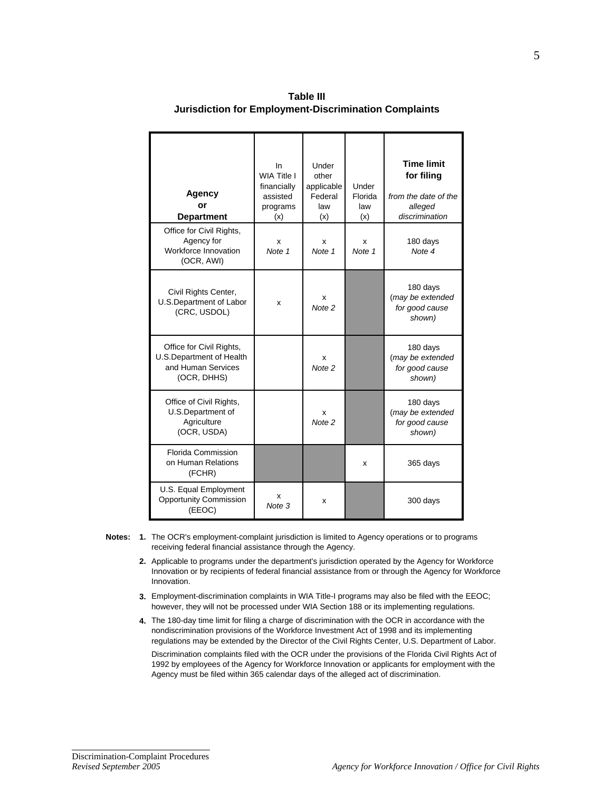| Agency<br>or<br><b>Department</b>                                                         | In.<br>WIA Title I<br>financially<br>assisted<br>programs<br>(x) | Under<br>other<br>applicable<br>Federal<br>law<br>(x) | Under<br>Florida<br>law<br>(x) | <b>Time limit</b><br>for filing<br>from the date of the<br>alleged<br>discrimination |
|-------------------------------------------------------------------------------------------|------------------------------------------------------------------|-------------------------------------------------------|--------------------------------|--------------------------------------------------------------------------------------|
| Office for Civil Rights,<br>Agency for<br>Workforce Innovation<br>(OCR, AWI)              | x<br>Note 1                                                      | x<br>Note 1                                           | x<br>Note 1                    | 180 days<br>Note 4                                                                   |
| Civil Rights Center,<br>U.S.Department of Labor<br>(CRC, USDOL)                           | x                                                                | x<br>Note <sub>2</sub>                                |                                | 180 days<br>(may be extended<br>for good cause<br>shown)                             |
| Office for Civil Rights,<br>U.S.Department of Health<br>and Human Services<br>(OCR, DHHS) |                                                                  | x<br>Note <sub>2</sub>                                |                                | 180 days<br>(may be extended<br>for good cause<br>shown)                             |
| Office of Civil Rights,<br>U.S.Department of<br>Agriculture<br>(OCR, USDA)                |                                                                  | x<br>Note <sub>2</sub>                                |                                | 180 days<br>(may be extended<br>for good cause<br>shown)                             |
| <b>Florida Commission</b><br>on Human Relations<br>(FCHR)                                 |                                                                  |                                                       | x                              | 365 days                                                                             |
| U.S. Equal Employment<br><b>Opportunity Commission</b><br>(EEOC)                          | x<br>Note 3                                                      | x                                                     |                                | 300 days                                                                             |

**Table III Jurisdiction for Employment-Discrimination Complaints**

- **Notes: 1.**  The OCR's employment-complaint jurisdiction is limited to Agency operations or to programs receiving federal financial assistance through the Agency.
	- **2.**  Applicable to programs under the department's jurisdiction operated by the Agency for Workforce Innovation or by recipients of federal financial assistance from or through the Agency for Workforce Innovation.
	- **3.**  Employment-discrimination complaints in WIA Title-I programs may also be filed with the EEOC; however, they will not be processed under WIA Section 188 or its implementing regulations.
	- **4.**  The 180-day time limit for filing a charge of discrimination with the OCR in accordance with the nondiscrimination provisions of the Workforce Investment Act of 1998 and its implementing regulations may be extended by the Director of the Civil Rights Center, U.S. Department of Labor.

Discrimination complaints filed with the OCR under the provisions of the Florida Civil Rights Act of 1992 by employees of the Agency for Workforce Innovation or applicants for employment with the Agency must be filed within 365 calendar days of the alleged act of discrimination.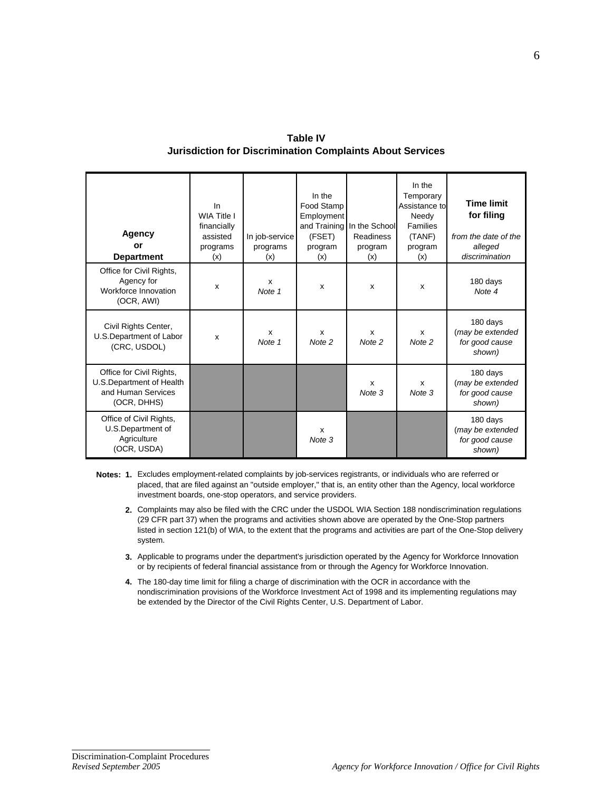| <b>Table IV</b>                                           |  |
|-----------------------------------------------------------|--|
| Jurisdiction for Discrimination Complaints About Services |  |

| <b>Agency</b><br>or<br><b>Department</b>                                                   | In<br>WIA Title I<br>financially<br>assisted<br>programs<br>(x) | In job-service<br>programs<br>(x) | In the<br>Food Stamp<br>Employment<br>(FSET)<br>program<br>(x) | and Training In the School<br><b>Readiness</b><br>program<br>(x) | In the<br>Temporary<br>Assistance to<br>Needy<br>Families<br>(TANF)<br>program<br>(x) | <b>Time limit</b><br>for filing<br>from the date of the<br>alleged<br>discrimination |
|--------------------------------------------------------------------------------------------|-----------------------------------------------------------------|-----------------------------------|----------------------------------------------------------------|------------------------------------------------------------------|---------------------------------------------------------------------------------------|--------------------------------------------------------------------------------------|
| Office for Civil Rights,<br>Agency for<br>Workforce Innovation<br>(OCR, AWI)               | x                                                               | x<br>Note 1                       | x                                                              | x                                                                | x                                                                                     | 180 days<br>Note 4                                                                   |
| Civil Rights Center,<br>U.S.Department of Labor<br>(CRC, USDOL)                            | x                                                               | X<br>Note 1                       | x<br>Note 2                                                    | X<br>Note 2                                                      | X<br>Note 2                                                                           | 180 days<br>(may be extended<br>for good cause<br>shown)                             |
| Office for Civil Rights,<br>U.S. Department of Health<br>and Human Services<br>(OCR, DHHS) |                                                                 |                                   |                                                                | X<br>Note 3                                                      | X<br>Note 3                                                                           | 180 days<br>(may be extended<br>for good cause<br>shown)                             |
| Office of Civil Rights,<br>U.S.Department of<br>Agriculture<br>(OCR, USDA)                 |                                                                 |                                   | X<br>Note 3                                                    |                                                                  |                                                                                       | 180 days<br>(may be extended<br>for good cause<br>shown)                             |

**Notes: 1.**  Excludes employment-related complaints by job-services registrants, or individuals who are referred or placed, that are filed against an "outside employer," that is, an entity other than the Agency, local workforce investment boards, one-stop operators, and service providers.

- **2.**  Complaints may also be filed with the CRC under the USDOL WIA Section 188 nondiscrimination regulations (29 CFR part 37) when the programs and activities shown above are operated by the One-Stop partners listed in section 121(b) of WIA, to the extent that the programs and activities are part of the One-Stop delivery system.
- **3.**  Applicable to programs under the department's jurisdiction operated by the Agency for Workforce Innovation or by recipients of federal financial assistance from or through the Agency for Workforce Innovation.
- **4.**  The 180-day time limit for filing a charge of discrimination with the OCR in accordance with the nondiscrimination provisions of the Workforce Investment Act of 1998 and its implementing regulations may be extended by the Director of the Civil Rights Center, U.S. Department of Labor.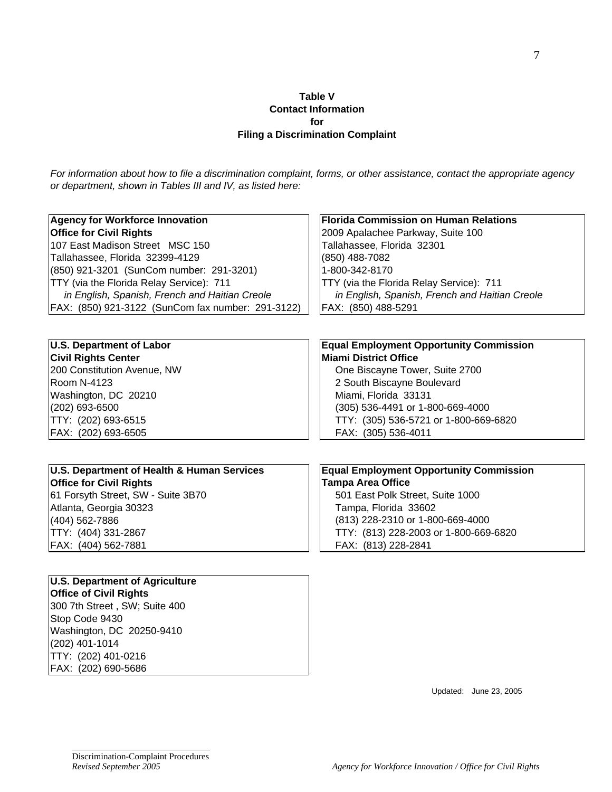#### **Table V Contact Information for Filing a Discrimination Complaint**

*For information about how to file a discrimination complaint, forms, or other assistance, contact the appropriate agency or department, shown in Tables III and IV, as listed here:*

| <b>Agency for Workforce Innovation</b>            | <b>Florida Commission on Human Relations</b>   |  |  |  |  |
|---------------------------------------------------|------------------------------------------------|--|--|--|--|
| <b>Office for Civil Rights</b>                    | 2009 Apalachee Parkway, Suite 100              |  |  |  |  |
| 107 East Madison Street MSC 150                   | Tallahassee, Florida 32301                     |  |  |  |  |
| Tallahassee, Florida 32399-4129                   | (850) 488-7082                                 |  |  |  |  |
| (850) 921-3201 (SunCom number: 291-3201)          | 1-800-342-8170                                 |  |  |  |  |
| TTY (via the Florida Relay Service): 711          | TTY (via the Florida Relay Service): 711       |  |  |  |  |
| in English, Spanish, French and Haitian Creole    | in English, Spanish, French and Haitian Creole |  |  |  |  |
| FAX: (850) 921-3122 (SunCom fax number: 291-3122) | FAX: (850) 488-5291                            |  |  |  |  |
|                                                   |                                                |  |  |  |  |
| <b>U.S. Department of Labor</b>                   | <b>Equal Employment Opportunity Commission</b> |  |  |  |  |
| <b>Civil Rights Center</b>                        | <b>Miami District Office</b>                   |  |  |  |  |
| 200 Constitution Avenue, NW                       | One Biscayne Tower, Suite 2700                 |  |  |  |  |
| Room N-4123                                       | 2 South Biscayne Boulevard                     |  |  |  |  |
| Washington, DC 20210                              | Miami, Florida 33131                           |  |  |  |  |
| (202) 693-6500                                    | (305) 536-4491 or 1-800-669-4000               |  |  |  |  |
| TTY: (202) 693-6515                               | TTY: (305) 536-5721 or 1-800-669-6820          |  |  |  |  |
| FAX: (202) 693-6505                               | FAX: (305) 536-4011                            |  |  |  |  |
|                                                   |                                                |  |  |  |  |
| U.S. Department of Health & Human Services        | <b>Equal Employment Opportunity Commission</b> |  |  |  |  |
| <b>Office for Civil Rights</b>                    | <b>Tampa Area Office</b>                       |  |  |  |  |
| 61 Forsyth Street, SW - Suite 3B70                | 501 East Polk Street, Suite 1000               |  |  |  |  |
| Atlanta, Georgia 30323                            | Tampa, Florida 33602                           |  |  |  |  |
| (404) 562-7886                                    | (813) 228-2310 or 1-800-669-4000               |  |  |  |  |
| TTY: (404) 331-2867                               | TTY: (813) 228-2003 or 1-800-669-6820          |  |  |  |  |
| FAX: (404) 562-7881                               | FAX: (813) 228-2841                            |  |  |  |  |
|                                                   |                                                |  |  |  |  |
| <b>U.S. Department of Agriculture</b>             |                                                |  |  |  |  |
| <b>Office of Civil Rights</b>                     |                                                |  |  |  |  |
| 300 7th Street, SW; Suite 400                     |                                                |  |  |  |  |
| Stop Code 9430                                    |                                                |  |  |  |  |
| Washington, DC 20250-9410                         |                                                |  |  |  |  |
| (202) 401-1014                                    |                                                |  |  |  |  |
| TTY: (202) 401-0216                               |                                                |  |  |  |  |

Updated: June 23, 2005

֦

FAX: (202) 690-5686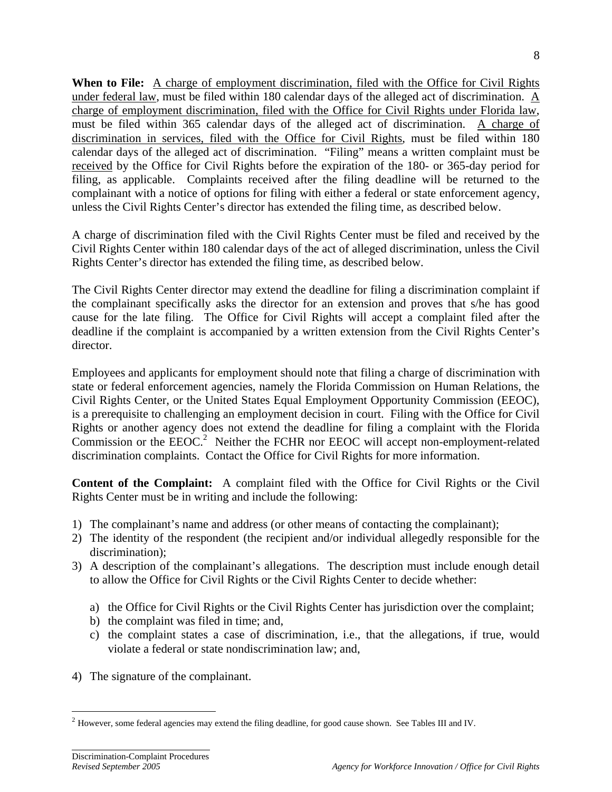**When to File:** A charge of employment discrimination, filed with the Office for Civil Rights under federal law, must be filed within 180 calendar days of the alleged act of discrimination. A charge of employment discrimination, filed with the Office for Civil Rights under Florida law, must be filed within 365 calendar days of the alleged act of discrimination. A charge of discrimination in services, filed with the Office for Civil Rights, must be filed within 180 calendar days of the alleged act of discrimination. "Filing" means a written complaint must be received by the Office for Civil Rights before the expiration of the 180- or 365-day period for filing, as applicable. Complaints received after the filing deadline will be returned to the complainant with a notice of options for filing with either a federal or state enforcement agency, unless the Civil Rights Center's director has extended the filing time, as described below.

A charge of discrimination filed with the Civil Rights Center must be filed and received by the Civil Rights Center within 180 calendar days of the act of alleged discrimination, unless the Civil Rights Center's director has extended the filing time, as described below.

The Civil Rights Center director may extend the deadline for filing a discrimination complaint if the complainant specifically asks the director for an extension and proves that s/he has good cause for the late filing. The Office for Civil Rights will accept a complaint filed after the deadline if the complaint is accompanied by a written extension from the Civil Rights Center's director.

Employees and applicants for employment should note that filing a charge of discrimination with state or federal enforcement agencies, namely the Florida Commission on Human Relations, the Civil Rights Center, or the United States Equal Employment Opportunity Commission (EEOC), is a prerequisite to challenging an employment decision in court. Filing with the Office for Civil Rights or another agency does not extend the deadline for filing a complaint with the Florida Commission or the EEOC.<sup>2</sup> Neither the FCHR nor EEOC will accept non-employment-related discrimination complaints. Contact the Office for Civil Rights for more information.

**Content of the Complaint:** A complaint filed with the Office for Civil Rights or the Civil Rights Center must be in writing and include the following:

- 1) The complainant's name and address (or other means of contacting the complainant);
- 2) The identity of the respondent (the recipient and/or individual allegedly responsible for the discrimination);
- 3) A description of the complainant's allegations. The description must include enough detail to allow the Office for Civil Rights or the Civil Rights Center to decide whether:
	- a) the Office for Civil Rights or the Civil Rights Center has jurisdiction over the complaint;
	- b) the complaint was filed in time; and,
	- c) the complaint states a case of discrimination, i.e., that the allegations, if true, would violate a federal or state nondiscrimination law; and,
- 4) The signature of the complainant.

 $\overline{a}$ 

 $2$  However, some federal agencies may extend the filing deadline, for good cause shown. See Tables III and IV.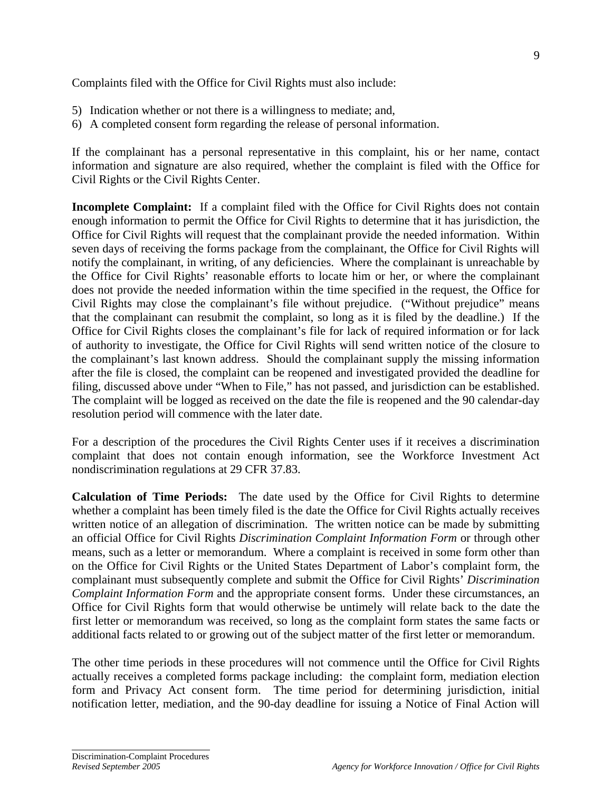Complaints filed with the Office for Civil Rights must also include:

- 5) Indication whether or not there is a willingness to mediate; and,
- 6) A completed consent form regarding the release of personal information.

If the complainant has a personal representative in this complaint, his or her name, contact information and signature are also required, whether the complaint is filed with the Office for Civil Rights or the Civil Rights Center.

**Incomplete Complaint:** If a complaint filed with the Office for Civil Rights does not contain enough information to permit the Office for Civil Rights to determine that it has jurisdiction, the Office for Civil Rights will request that the complainant provide the needed information. Within seven days of receiving the forms package from the complainant, the Office for Civil Rights will notify the complainant, in writing, of any deficiencies. Where the complainant is unreachable by the Office for Civil Rights' reasonable efforts to locate him or her, or where the complainant does not provide the needed information within the time specified in the request, the Office for Civil Rights may close the complainant's file without prejudice. ("Without prejudice" means that the complainant can resubmit the complaint, so long as it is filed by the deadline.) If the Office for Civil Rights closes the complainant's file for lack of required information or for lack of authority to investigate, the Office for Civil Rights will send written notice of the closure to the complainant's last known address. Should the complainant supply the missing information after the file is closed, the complaint can be reopened and investigated provided the deadline for filing, discussed above under "When to File," has not passed, and jurisdiction can be established. The complaint will be logged as received on the date the file is reopened and the 90 calendar-day resolution period will commence with the later date.

For a description of the procedures the Civil Rights Center uses if it receives a discrimination complaint that does not contain enough information, see the Workforce Investment Act nondiscrimination regulations at 29 CFR 37.83.

**Calculation of Time Periods:** The date used by the Office for Civil Rights to determine whether a complaint has been timely filed is the date the Office for Civil Rights actually receives written notice of an allegation of discrimination. The written notice can be made by submitting an official Office for Civil Rights *Discrimination Complaint Information Form* or through other means, such as a letter or memorandum. Where a complaint is received in some form other than on the Office for Civil Rights or the United States Department of Labor's complaint form, the complainant must subsequently complete and submit the Office for Civil Rights' *Discrimination Complaint Information Form* and the appropriate consent forms. Under these circumstances, an Office for Civil Rights form that would otherwise be untimely will relate back to the date the first letter or memorandum was received, so long as the complaint form states the same facts or additional facts related to or growing out of the subject matter of the first letter or memorandum.

The other time periods in these procedures will not commence until the Office for Civil Rights actually receives a completed forms package including: the complaint form, mediation election form and Privacy Act consent form. The time period for determining jurisdiction, initial notification letter, mediation, and the 90-day deadline for issuing a Notice of Final Action will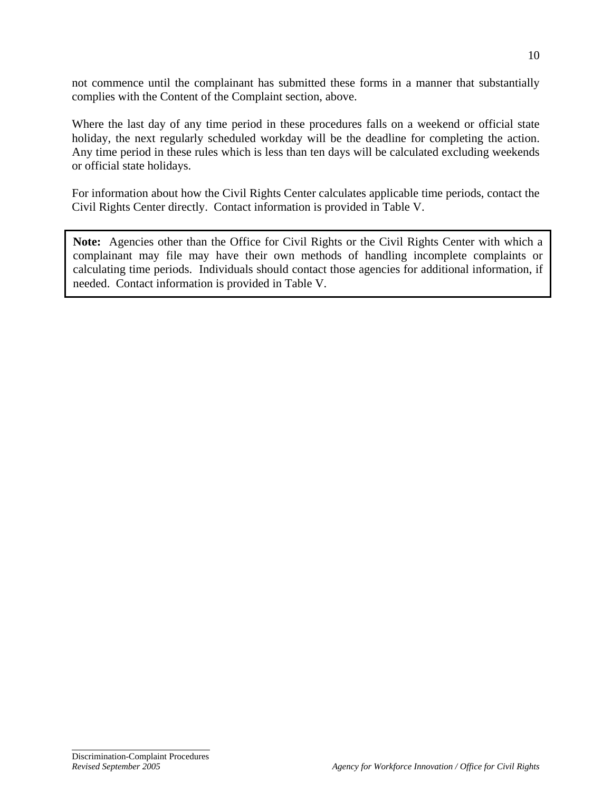not commence until the complainant has submitted these forms in a manner that substantially complies with the Content of the Complaint section, above.

Where the last day of any time period in these procedures falls on a weekend or official state holiday, the next regularly scheduled workday will be the deadline for completing the action. Any time period in these rules which is less than ten days will be calculated excluding weekends or official state holidays.

For information about how the Civil Rights Center calculates applicable time periods, contact the Civil Rights Center directly. Contact information is provided in Table V.

**Note:** Agencies other than the Office for Civil Rights or the Civil Rights Center with which a complainant may file may have their own methods of handling incomplete complaints or calculating time periods. Individuals should contact those agencies for additional information, if needed. Contact information is provided in Table V.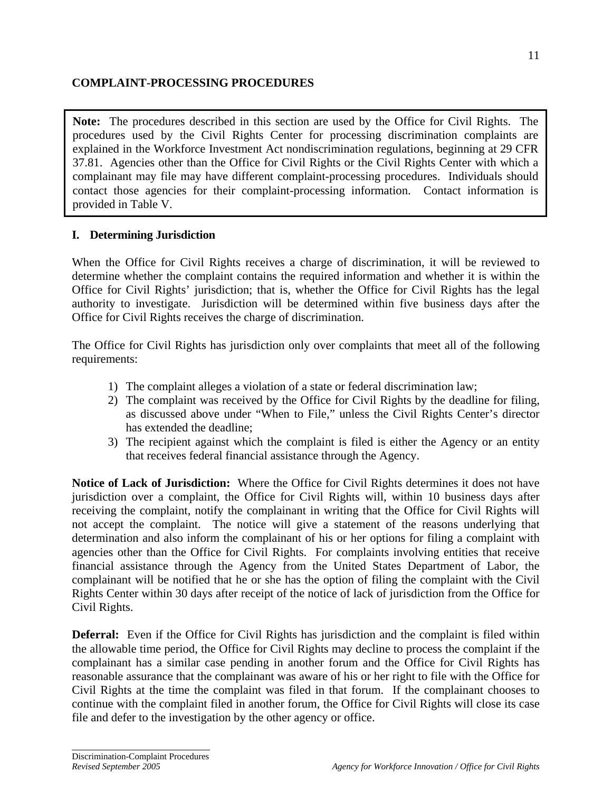### **COMPLAINT-PROCESSING PROCEDURES**

**Note:** The procedures described in this section are used by the Office for Civil Rights. The procedures used by the Civil Rights Center for processing discrimination complaints are explained in the Workforce Investment Act nondiscrimination regulations, beginning at 29 CFR 37.81. Agencies other than the Office for Civil Rights or the Civil Rights Center with which a complainant may file may have different complaint-processing procedures. Individuals should contact those agencies for their complaint-processing information. Contact information is provided in Table V.

### **I. Determining Jurisdiction**

When the Office for Civil Rights receives a charge of discrimination, it will be reviewed to determine whether the complaint contains the required information and whether it is within the Office for Civil Rights' jurisdiction; that is, whether the Office for Civil Rights has the legal authority to investigate. Jurisdiction will be determined within five business days after the Office for Civil Rights receives the charge of discrimination.

The Office for Civil Rights has jurisdiction only over complaints that meet all of the following requirements:

- 1) The complaint alleges a violation of a state or federal discrimination law;
- 2) The complaint was received by the Office for Civil Rights by the deadline for filing, as discussed above under "When to File," unless the Civil Rights Center's director has extended the deadline;
- 3) The recipient against which the complaint is filed is either the Agency or an entity that receives federal financial assistance through the Agency.

**Notice of Lack of Jurisdiction:** Where the Office for Civil Rights determines it does not have jurisdiction over a complaint, the Office for Civil Rights will, within 10 business days after receiving the complaint, notify the complainant in writing that the Office for Civil Rights will not accept the complaint. The notice will give a statement of the reasons underlying that determination and also inform the complainant of his or her options for filing a complaint with agencies other than the Office for Civil Rights. For complaints involving entities that receive financial assistance through the Agency from the United States Department of Labor, the complainant will be notified that he or she has the option of filing the complaint with the Civil Rights Center within 30 days after receipt of the notice of lack of jurisdiction from the Office for Civil Rights.

**Deferral:** Even if the Office for Civil Rights has jurisdiction and the complaint is filed within the allowable time period, the Office for Civil Rights may decline to process the complaint if the complainant has a similar case pending in another forum and the Office for Civil Rights has reasonable assurance that the complainant was aware of his or her right to file with the Office for Civil Rights at the time the complaint was filed in that forum. If the complainant chooses to continue with the complaint filed in another forum, the Office for Civil Rights will close its case file and defer to the investigation by the other agency or office.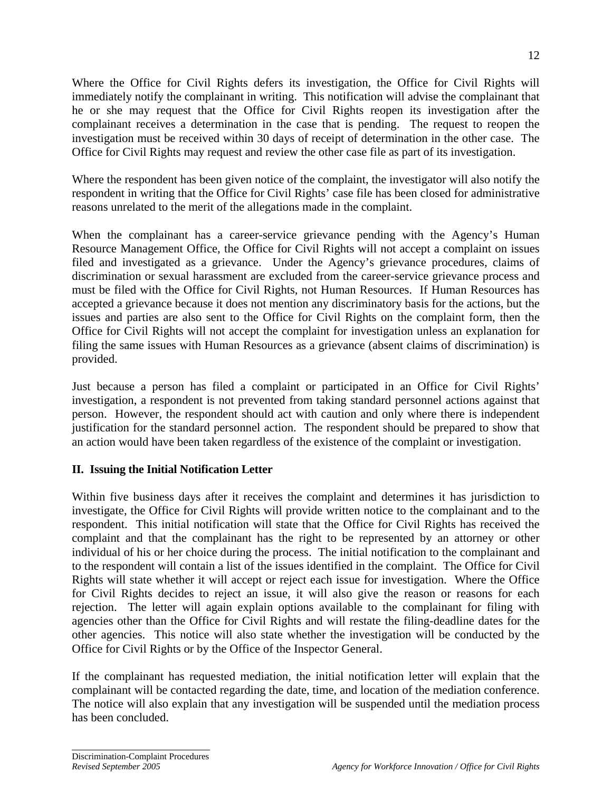Where the Office for Civil Rights defers its investigation, the Office for Civil Rights will immediately notify the complainant in writing. This notification will advise the complainant that he or she may request that the Office for Civil Rights reopen its investigation after the complainant receives a determination in the case that is pending. The request to reopen the investigation must be received within 30 days of receipt of determination in the other case. The Office for Civil Rights may request and review the other case file as part of its investigation.

Where the respondent has been given notice of the complaint, the investigator will also notify the respondent in writing that the Office for Civil Rights' case file has been closed for administrative reasons unrelated to the merit of the allegations made in the complaint.

When the complainant has a career-service grievance pending with the Agency's Human Resource Management Office, the Office for Civil Rights will not accept a complaint on issues filed and investigated as a grievance. Under the Agency's grievance procedures, claims of discrimination or sexual harassment are excluded from the career-service grievance process and must be filed with the Office for Civil Rights, not Human Resources. If Human Resources has accepted a grievance because it does not mention any discriminatory basis for the actions, but the issues and parties are also sent to the Office for Civil Rights on the complaint form, then the Office for Civil Rights will not accept the complaint for investigation unless an explanation for filing the same issues with Human Resources as a grievance (absent claims of discrimination) is provided.

Just because a person has filed a complaint or participated in an Office for Civil Rights' investigation, a respondent is not prevented from taking standard personnel actions against that person. However, the respondent should act with caution and only where there is independent justification for the standard personnel action. The respondent should be prepared to show that an action would have been taken regardless of the existence of the complaint or investigation.

### **II. Issuing the Initial Notification Letter**

Within five business days after it receives the complaint and determines it has jurisdiction to investigate, the Office for Civil Rights will provide written notice to the complainant and to the respondent. This initial notification will state that the Office for Civil Rights has received the complaint and that the complainant has the right to be represented by an attorney or other individual of his or her choice during the process. The initial notification to the complainant and to the respondent will contain a list of the issues identified in the complaint. The Office for Civil Rights will state whether it will accept or reject each issue for investigation. Where the Office for Civil Rights decides to reject an issue, it will also give the reason or reasons for each rejection. The letter will again explain options available to the complainant for filing with agencies other than the Office for Civil Rights and will restate the filing-deadline dates for the other agencies. This notice will also state whether the investigation will be conducted by the Office for Civil Rights or by the Office of the Inspector General.

If the complainant has requested mediation, the initial notification letter will explain that the complainant will be contacted regarding the date, time, and location of the mediation conference. The notice will also explain that any investigation will be suspended until the mediation process has been concluded.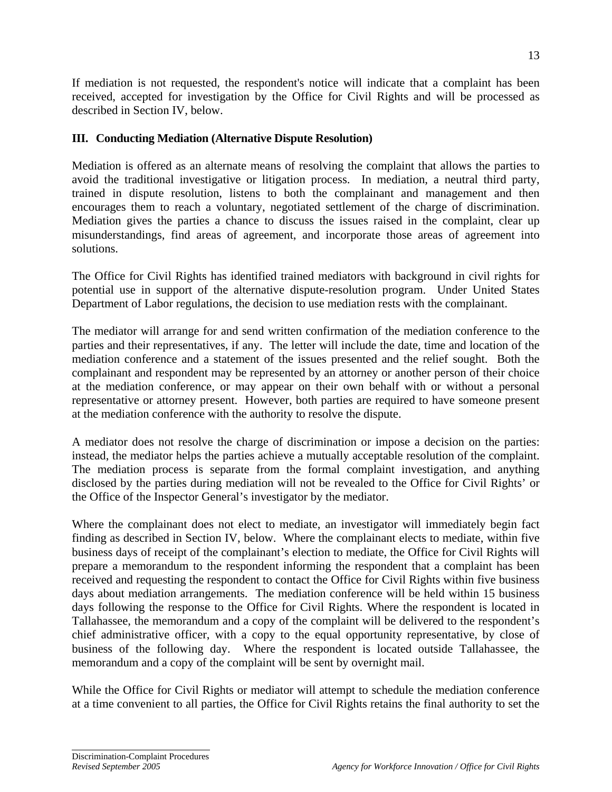If mediation is not requested, the respondent's notice will indicate that a complaint has been received, accepted for investigation by the Office for Civil Rights and will be processed as described in Section IV, below.

#### **III. Conducting Mediation (Alternative Dispute Resolution)**

Mediation is offered as an alternate means of resolving the complaint that allows the parties to avoid the traditional investigative or litigation process. In mediation, a neutral third party, trained in dispute resolution, listens to both the complainant and management and then encourages them to reach a voluntary, negotiated settlement of the charge of discrimination. Mediation gives the parties a chance to discuss the issues raised in the complaint, clear up misunderstandings, find areas of agreement, and incorporate those areas of agreement into solutions.

The Office for Civil Rights has identified trained mediators with background in civil rights for potential use in support of the alternative dispute-resolution program. Under United States Department of Labor regulations, the decision to use mediation rests with the complainant.

The mediator will arrange for and send written confirmation of the mediation conference to the parties and their representatives, if any. The letter will include the date, time and location of the mediation conference and a statement of the issues presented and the relief sought. Both the complainant and respondent may be represented by an attorney or another person of their choice at the mediation conference, or may appear on their own behalf with or without a personal representative or attorney present. However, both parties are required to have someone present at the mediation conference with the authority to resolve the dispute.

A mediator does not resolve the charge of discrimination or impose a decision on the parties: instead, the mediator helps the parties achieve a mutually acceptable resolution of the complaint. The mediation process is separate from the formal complaint investigation, and anything disclosed by the parties during mediation will not be revealed to the Office for Civil Rights' or the Office of the Inspector General's investigator by the mediator.

Where the complainant does not elect to mediate, an investigator will immediately begin fact finding as described in Section IV, below. Where the complainant elects to mediate, within five business days of receipt of the complainant's election to mediate, the Office for Civil Rights will prepare a memorandum to the respondent informing the respondent that a complaint has been received and requesting the respondent to contact the Office for Civil Rights within five business days about mediation arrangements. The mediation conference will be held within 15 business days following the response to the Office for Civil Rights. Where the respondent is located in Tallahassee, the memorandum and a copy of the complaint will be delivered to the respondent's chief administrative officer, with a copy to the equal opportunity representative, by close of business of the following day. Where the respondent is located outside Tallahassee, the memorandum and a copy of the complaint will be sent by overnight mail.

While the Office for Civil Rights or mediator will attempt to schedule the mediation conference at a time convenient to all parties, the Office for Civil Rights retains the final authority to set the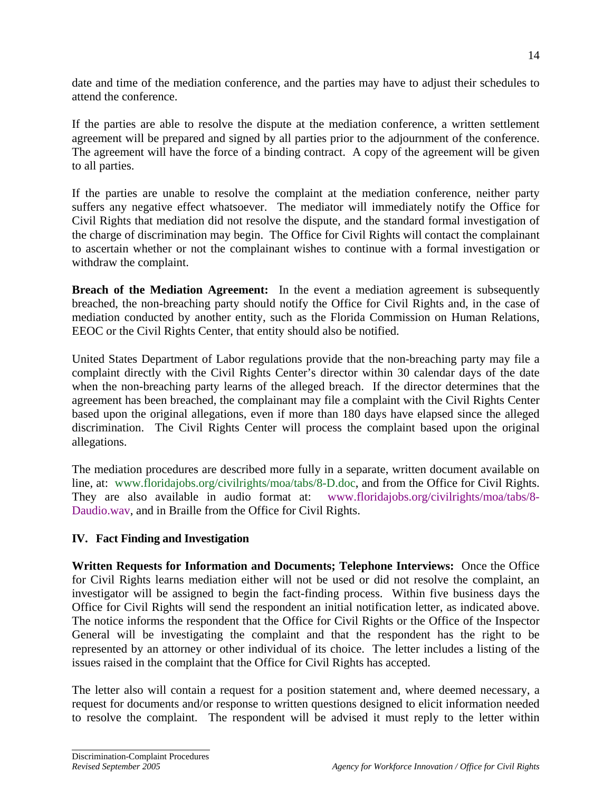date and time of the mediation conference, and the parties may have to adjust their schedules to attend the conference.

If the parties are able to resolve the dispute at the mediation conference, a written settlement agreement will be prepared and signed by all parties prior to the adjournment of the conference. The agreement will have the force of a binding contract. A copy of the agreement will be given to all parties.

If the parties are unable to resolve the complaint at the mediation conference, neither party suffers any negative effect whatsoever. The mediator will immediately notify the Office for Civil Rights that mediation did not resolve the dispute, and the standard formal investigation of the charge of discrimination may begin. The Office for Civil Rights will contact the complainant to ascertain whether or not the complainant wishes to continue with a formal investigation or withdraw the complaint.

**Breach of the Mediation Agreement:** In the event a mediation agreement is subsequently breached, the non-breaching party should notify the Office for Civil Rights and, in the case of mediation conducted by another entity, such as the Florida Commission on Human Relations, EEOC or the Civil Rights Center, that entity should also be notified.

United States Department of Labor regulations provide that the non-breaching party may file a complaint directly with the Civil Rights Center's director within 30 calendar days of the date when the non-breaching party learns of the alleged breach. If the director determines that the agreement has been breached, the complainant may file a complaint with the Civil Rights Center based upon the original allegations, even if more than 180 days have elapsed since the alleged discrimination. The Civil Rights Center will process the complaint based upon the original allegations.

The mediation procedures are described more fully in a separate, written document available on line, at: www.floridajobs.org/civilrights/moa/tabs/8-D.doc, and from the Office for Civil Rights. They are also available in audio format at: www.floridajobs.org/civilrights/moa/tabs/8- Daudio.wav, and in Braille from the Office for Civil Rights.

### **IV. Fact Finding and Investigation**

**Written Requests for Information and Documents; Telephone Interviews:** Once the Office for Civil Rights learns mediation either will not be used or did not resolve the complaint, an investigator will be assigned to begin the fact-finding process. Within five business days the Office for Civil Rights will send the respondent an initial notification letter, as indicated above. The notice informs the respondent that the Office for Civil Rights or the Office of the Inspector General will be investigating the complaint and that the respondent has the right to be represented by an attorney or other individual of its choice. The letter includes a listing of the issues raised in the complaint that the Office for Civil Rights has accepted.

The letter also will contain a request for a position statement and, where deemed necessary, a request for documents and/or response to written questions designed to elicit information needed to resolve the complaint. The respondent will be advised it must reply to the letter within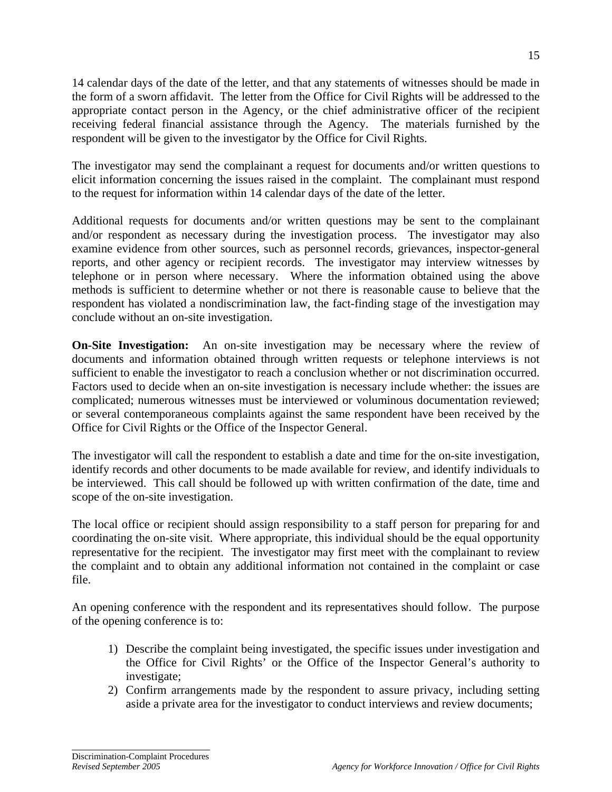14 calendar days of the date of the letter, and that any statements of witnesses should be made in the form of a sworn affidavit. The letter from the Office for Civil Rights will be addressed to the appropriate contact person in the Agency, or the chief administrative officer of the recipient receiving federal financial assistance through the Agency. The materials furnished by the respondent will be given to the investigator by the Office for Civil Rights.

The investigator may send the complainant a request for documents and/or written questions to elicit information concerning the issues raised in the complaint. The complainant must respond to the request for information within 14 calendar days of the date of the letter.

Additional requests for documents and/or written questions may be sent to the complainant and/or respondent as necessary during the investigation process. The investigator may also examine evidence from other sources, such as personnel records, grievances, inspector-general reports, and other agency or recipient records. The investigator may interview witnesses by telephone or in person where necessary. Where the information obtained using the above methods is sufficient to determine whether or not there is reasonable cause to believe that the respondent has violated a nondiscrimination law, the fact-finding stage of the investigation may conclude without an on-site investigation.

**On-Site Investigation:** An on-site investigation may be necessary where the review of documents and information obtained through written requests or telephone interviews is not sufficient to enable the investigator to reach a conclusion whether or not discrimination occurred. Factors used to decide when an on-site investigation is necessary include whether: the issues are complicated; numerous witnesses must be interviewed or voluminous documentation reviewed; or several contemporaneous complaints against the same respondent have been received by the Office for Civil Rights or the Office of the Inspector General.

The investigator will call the respondent to establish a date and time for the on-site investigation, identify records and other documents to be made available for review, and identify individuals to be interviewed. This call should be followed up with written confirmation of the date, time and scope of the on-site investigation.

The local office or recipient should assign responsibility to a staff person for preparing for and coordinating the on-site visit. Where appropriate, this individual should be the equal opportunity representative for the recipient. The investigator may first meet with the complainant to review the complaint and to obtain any additional information not contained in the complaint or case file.

An opening conference with the respondent and its representatives should follow. The purpose of the opening conference is to:

- 1) Describe the complaint being investigated, the specific issues under investigation and the Office for Civil Rights' or the Office of the Inspector General's authority to investigate;
- 2) Confirm arrangements made by the respondent to assure privacy, including setting aside a private area for the investigator to conduct interviews and review documents;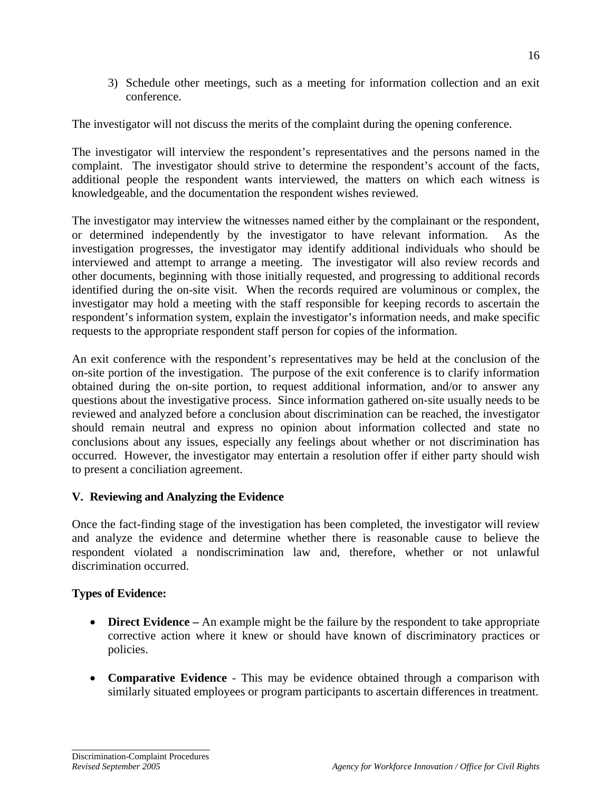3) Schedule other meetings, such as a meeting for information collection and an exit conference.

The investigator will not discuss the merits of the complaint during the opening conference.

The investigator will interview the respondent's representatives and the persons named in the complaint. The investigator should strive to determine the respondent's account of the facts, additional people the respondent wants interviewed, the matters on which each witness is knowledgeable, and the documentation the respondent wishes reviewed.

The investigator may interview the witnesses named either by the complainant or the respondent, or determined independently by the investigator to have relevant information. As the investigation progresses, the investigator may identify additional individuals who should be interviewed and attempt to arrange a meeting. The investigator will also review records and other documents, beginning with those initially requested, and progressing to additional records identified during the on-site visit. When the records required are voluminous or complex, the investigator may hold a meeting with the staff responsible for keeping records to ascertain the respondent's information system, explain the investigator's information needs, and make specific requests to the appropriate respondent staff person for copies of the information.

An exit conference with the respondent's representatives may be held at the conclusion of the on-site portion of the investigation. The purpose of the exit conference is to clarify information obtained during the on-site portion, to request additional information, and/or to answer any questions about the investigative process. Since information gathered on-site usually needs to be reviewed and analyzed before a conclusion about discrimination can be reached, the investigator should remain neutral and express no opinion about information collected and state no conclusions about any issues, especially any feelings about whether or not discrimination has occurred. However, the investigator may entertain a resolution offer if either party should wish to present a conciliation agreement.

### **V. Reviewing and Analyzing the Evidence**

Once the fact-finding stage of the investigation has been completed, the investigator will review and analyze the evidence and determine whether there is reasonable cause to believe the respondent violated a nondiscrimination law and, therefore, whether or not unlawful discrimination occurred.

### **Types of Evidence:**

- **Direct Evidence** An example might be the failure by the respondent to take appropriate corrective action where it knew or should have known of discriminatory practices or policies.
- **Comparative Evidence** This may be evidence obtained through a comparison with similarly situated employees or program participants to ascertain differences in treatment.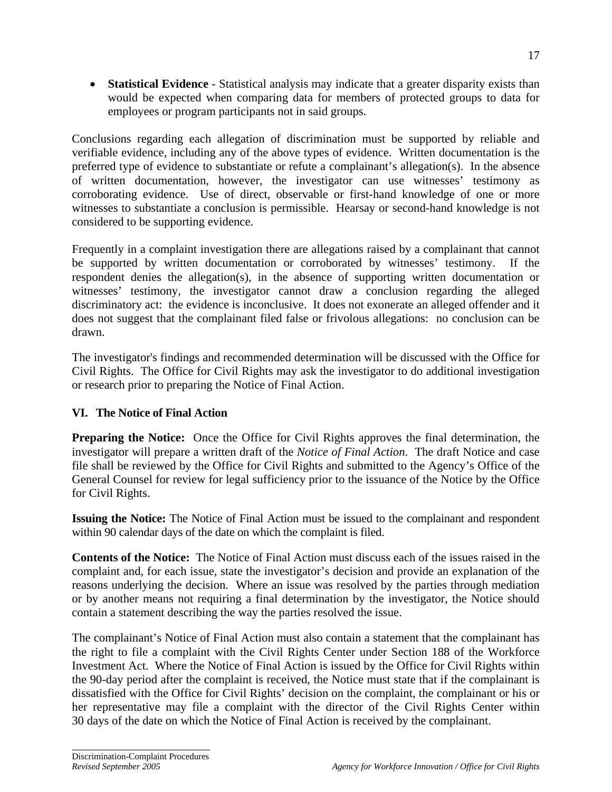**Statistical Evidence** - Statistical analysis may indicate that a greater disparity exists than would be expected when comparing data for members of protected groups to data for employees or program participants not in said groups.

Conclusions regarding each allegation of discrimination must be supported by reliable and verifiable evidence, including any of the above types of evidence. Written documentation is the preferred type of evidence to substantiate or refute a complainant's allegation(s). In the absence of written documentation, however, the investigator can use witnesses' testimony as corroborating evidence. Use of direct, observable or first-hand knowledge of one or more witnesses to substantiate a conclusion is permissible. Hearsay or second-hand knowledge is not considered to be supporting evidence.

Frequently in a complaint investigation there are allegations raised by a complainant that cannot be supported by written documentation or corroborated by witnesses' testimony. If the respondent denies the allegation(s), in the absence of supporting written documentation or witnesses' testimony, the investigator cannot draw a conclusion regarding the alleged discriminatory act: the evidence is inconclusive. It does not exonerate an alleged offender and it does not suggest that the complainant filed false or frivolous allegations: no conclusion can be drawn.

The investigator's findings and recommended determination will be discussed with the Office for Civil Rights. The Office for Civil Rights may ask the investigator to do additional investigation or research prior to preparing the Notice of Final Action.

### **VI. The Notice of Final Action**

**Preparing the Notice:** Once the Office for Civil Rights approves the final determination, the investigator will prepare a written draft of the *Notice of Final Action*. The draft Notice and case file shall be reviewed by the Office for Civil Rights and submitted to the Agency's Office of the General Counsel for review for legal sufficiency prior to the issuance of the Notice by the Office for Civil Rights.

**Issuing the Notice:** The Notice of Final Action must be issued to the complainant and respondent within 90 calendar days of the date on which the complaint is filed.

**Contents of the Notice:** The Notice of Final Action must discuss each of the issues raised in the complaint and, for each issue, state the investigator's decision and provide an explanation of the reasons underlying the decision. Where an issue was resolved by the parties through mediation or by another means not requiring a final determination by the investigator, the Notice should contain a statement describing the way the parties resolved the issue.

The complainant's Notice of Final Action must also contain a statement that the complainant has the right to file a complaint with the Civil Rights Center under Section 188 of the Workforce Investment Act. Where the Notice of Final Action is issued by the Office for Civil Rights within the 90-day period after the complaint is received, the Notice must state that if the complainant is dissatisfied with the Office for Civil Rights' decision on the complaint, the complainant or his or her representative may file a complaint with the director of the Civil Rights Center within 30 days of the date on which the Notice of Final Action is received by the complainant.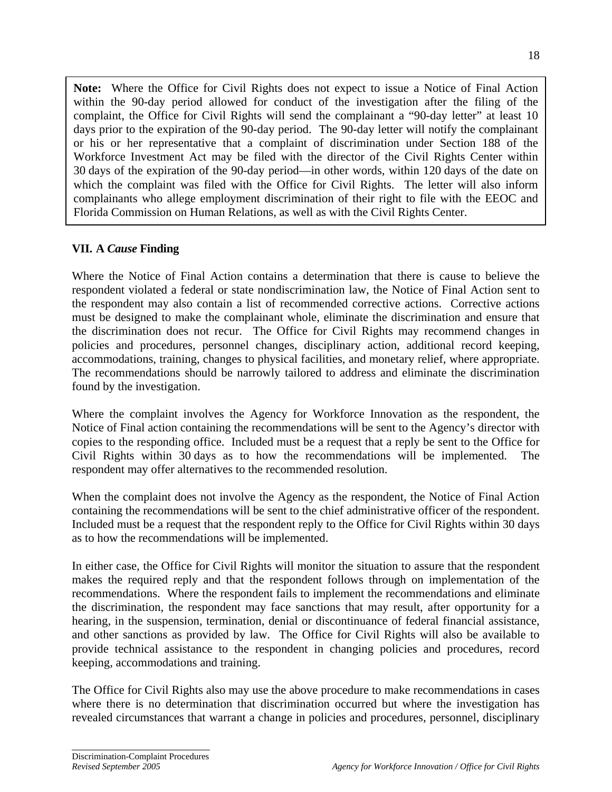**Note:** Where the Office for Civil Rights does not expect to issue a Notice of Final Action within the 90-day period allowed for conduct of the investigation after the filing of the complaint, the Office for Civil Rights will send the complainant a "90-day letter" at least 10 days prior to the expiration of the 90-day period. The 90-day letter will notify the complainant or his or her representative that a complaint of discrimination under Section 188 of the Workforce Investment Act may be filed with the director of the Civil Rights Center within 30 days of the expiration of the 90-day period—in other words, within 120 days of the date on which the complaint was filed with the Office for Civil Rights. The letter will also inform complainants who allege employment discrimination of their right to file with the EEOC and Florida Commission on Human Relations, as well as with the Civil Rights Center.

## **VII. A** *Cause* **Finding**

Where the Notice of Final Action contains a determination that there is cause to believe the respondent violated a federal or state nondiscrimination law, the Notice of Final Action sent to the respondent may also contain a list of recommended corrective actions. Corrective actions must be designed to make the complainant whole, eliminate the discrimination and ensure that the discrimination does not recur. The Office for Civil Rights may recommend changes in policies and procedures, personnel changes, disciplinary action, additional record keeping, accommodations, training, changes to physical facilities, and monetary relief, where appropriate. The recommendations should be narrowly tailored to address and eliminate the discrimination found by the investigation.

Where the complaint involves the Agency for Workforce Innovation as the respondent, the Notice of Final action containing the recommendations will be sent to the Agency's director with copies to the responding office. Included must be a request that a reply be sent to the Office for Civil Rights within 30 days as to how the recommendations will be implemented. The respondent may offer alternatives to the recommended resolution.

When the complaint does not involve the Agency as the respondent, the Notice of Final Action containing the recommendations will be sent to the chief administrative officer of the respondent. Included must be a request that the respondent reply to the Office for Civil Rights within 30 days as to how the recommendations will be implemented.

In either case, the Office for Civil Rights will monitor the situation to assure that the respondent makes the required reply and that the respondent follows through on implementation of the recommendations. Where the respondent fails to implement the recommendations and eliminate the discrimination, the respondent may face sanctions that may result, after opportunity for a hearing, in the suspension, termination, denial or discontinuance of federal financial assistance, and other sanctions as provided by law. The Office for Civil Rights will also be available to provide technical assistance to the respondent in changing policies and procedures, record keeping, accommodations and training.

The Office for Civil Rights also may use the above procedure to make recommendations in cases where there is no determination that discrimination occurred but where the investigation has revealed circumstances that warrant a change in policies and procedures, personnel, disciplinary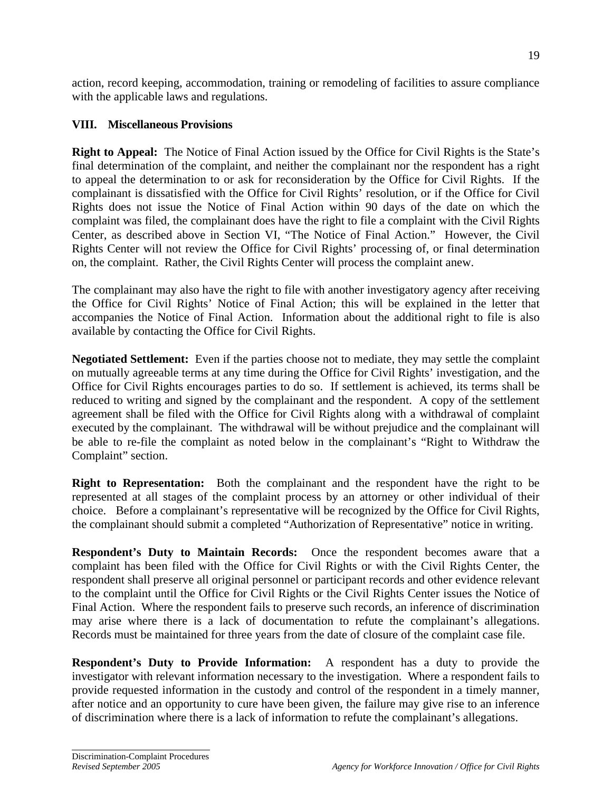action, record keeping, accommodation, training or remodeling of facilities to assure compliance with the applicable laws and regulations.

### **VIII. Miscellaneous Provisions**

**Right to Appeal:** The Notice of Final Action issued by the Office for Civil Rights is the State's final determination of the complaint, and neither the complainant nor the respondent has a right to appeal the determination to or ask for reconsideration by the Office for Civil Rights. If the complainant is dissatisfied with the Office for Civil Rights' resolution, or if the Office for Civil Rights does not issue the Notice of Final Action within 90 days of the date on which the complaint was filed, the complainant does have the right to file a complaint with the Civil Rights Center, as described above in Section VI, "The Notice of Final Action." However, the Civil Rights Center will not review the Office for Civil Rights' processing of, or final determination on, the complaint. Rather, the Civil Rights Center will process the complaint anew.

The complainant may also have the right to file with another investigatory agency after receiving the Office for Civil Rights' Notice of Final Action; this will be explained in the letter that accompanies the Notice of Final Action. Information about the additional right to file is also available by contacting the Office for Civil Rights.

**Negotiated Settlement:** Even if the parties choose not to mediate, they may settle the complaint on mutually agreeable terms at any time during the Office for Civil Rights' investigation, and the Office for Civil Rights encourages parties to do so. If settlement is achieved, its terms shall be reduced to writing and signed by the complainant and the respondent. A copy of the settlement agreement shall be filed with the Office for Civil Rights along with a withdrawal of complaint executed by the complainant. The withdrawal will be without prejudice and the complainant will be able to re-file the complaint as noted below in the complainant's "Right to Withdraw the Complaint" section.

**Right to Representation:** Both the complainant and the respondent have the right to be represented at all stages of the complaint process by an attorney or other individual of their choice. Before a complainant's representative will be recognized by the Office for Civil Rights, the complainant should submit a completed "Authorization of Representative" notice in writing.

**Respondent's Duty to Maintain Records:** Once the respondent becomes aware that a complaint has been filed with the Office for Civil Rights or with the Civil Rights Center, the respondent shall preserve all original personnel or participant records and other evidence relevant to the complaint until the Office for Civil Rights or the Civil Rights Center issues the Notice of Final Action. Where the respondent fails to preserve such records, an inference of discrimination may arise where there is a lack of documentation to refute the complainant's allegations. Records must be maintained for three years from the date of closure of the complaint case file.

**Respondent's Duty to Provide Information:** A respondent has a duty to provide the investigator with relevant information necessary to the investigation. Where a respondent fails to provide requested information in the custody and control of the respondent in a timely manner, after notice and an opportunity to cure have been given, the failure may give rise to an inference of discrimination where there is a lack of information to refute the complainant's allegations.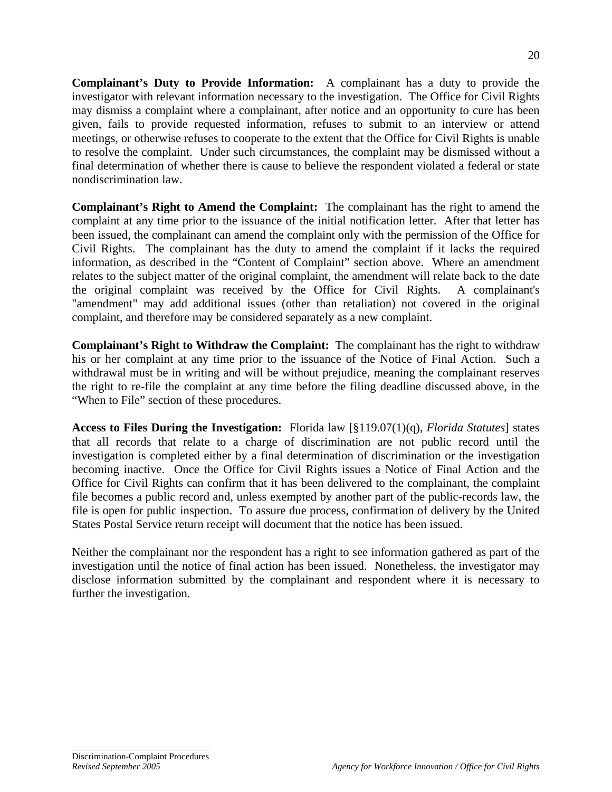**Complainant's Duty to Provide Information:** A complainant has a duty to provide the investigator with relevant information necessary to the investigation. The Office for Civil Rights may dismiss a complaint where a complainant, after notice and an opportunity to cure has been given, fails to provide requested information, refuses to submit to an interview or attend meetings, or otherwise refuses to cooperate to the extent that the Office for Civil Rights is unable to resolve the complaint. Under such circumstances, the complaint may be dismissed without a final determination of whether there is cause to believe the respondent violated a federal or state nondiscrimination law.

**Complainant's Right to Amend the Complaint:** The complainant has the right to amend the complaint at any time prior to the issuance of the initial notification letter. After that letter has been issued, the complainant can amend the complaint only with the permission of the Office for Civil Rights. The complainant has the duty to amend the complaint if it lacks the required information, as described in the "Content of Complaint" section above. Where an amendment relates to the subject matter of the original complaint, the amendment will relate back to the date the original complaint was received by the Office for Civil Rights. A complainant's "amendment" may add additional issues (other than retaliation) not covered in the original complaint, and therefore may be considered separately as a new complaint.

**Complainant's Right to Withdraw the Complaint:** The complainant has the right to withdraw his or her complaint at any time prior to the issuance of the Notice of Final Action. Such a withdrawal must be in writing and will be without prejudice, meaning the complainant reserves the right to re-file the complaint at any time before the filing deadline discussed above, in the "When to File" section of these procedures.

**Access to Files During the Investigation:** Florida law [§119.07(1)(q), *Florida Statutes*] states that all records that relate to a charge of discrimination are not public record until the investigation is completed either by a final determination of discrimination or the investigation becoming inactive. Once the Office for Civil Rights issues a Notice of Final Action and the Office for Civil Rights can confirm that it has been delivered to the complainant, the complaint file becomes a public record and, unless exempted by another part of the public-records law, the file is open for public inspection. To assure due process, confirmation of delivery by the United States Postal Service return receipt will document that the notice has been issued.

Neither the complainant nor the respondent has a right to see information gathered as part of the investigation until the notice of final action has been issued. Nonetheless, the investigator may disclose information submitted by the complainant and respondent where it is necessary to further the investigation.